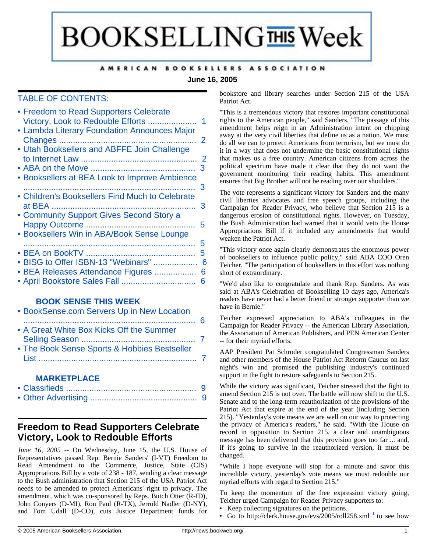# **BOOKSELLING THIS Week**

#### AMERICAN BOOKSELLERS ASSOCIATION

#### **June 16, 2005**

#### TABLE OF CONTENTS:

| 1<br>• Lambda Literary Foundation Announces Major                             |   |
|-------------------------------------------------------------------------------|---|
| 2                                                                             |   |
| • Utah Booksellers and ABFFE Join Challenge                                   |   |
| З<br><b>• Booksellers at BEA Look to Improve Ambience</b>                     |   |
| З<br>• Children's Booksellers Find Much to Celebrate                          |   |
| 3<br>• Community Support Gives Second Story a                                 |   |
| 5<br><b>• Booksellers Win in ABA/Book Sense Lounge</b>                        |   |
| 5                                                                             |   |
| 5<br>BISG to Offer ISBN-13 "Webinars"<br>BEA Releases Attendance Figures<br>6 | 6 |
| 6                                                                             |   |

#### **[BOOK SENSE THIS WEEK](#page-5-3)**

| • BookSense.com Servers Up in New Location   |  |
|----------------------------------------------|--|
| • A Great White Box Kicks Off the Summer     |  |
| • The Book Sense Sports & Hobbies Bestseller |  |
|                                              |  |

#### **[MARKETPLACE](#page-8-0)**

## <span id="page-0-0"></span>**Freedom to Read Supporters Celebrate Victory, Look to Redouble Efforts**

*June 16, 2005* -- On Wednesday, June 15, the U.S. House of Representatives passed Rep. Bernie Sanders' (I-VT) Freedom to Read Amendment to the Commerce, Justice, State (CJS) Appropriations Bill by a vote of 238 - 187, sending a clear message to the Bush administration that Section 215 of the USA Patriot Act needs to be amended to protect Americans' right to privacy. The amendment, which was co-sponsored by Reps. Butch Otter (R-ID), John Conyers (D-MI), Ron Paul (R-TX), Jerrold Nadler (D-NY), and Tom Udall (D-CO), cuts Justice Department funds for

bookstore and library searches under Section 215 of the USA Patriot Act.

"This is a tremendous victory that restores important constitutional rights to the American people," said Sanders. "The passage of this amendment helps reign in an Administration intent on chipping away at the very civil liberties that define us as a nation. We must do all we can to protect Americans from terrorism, but we must do it in a way that does not undermine the basic constitutional rights that makes us a free country. American citizens from across the political spectrum have made it clear that they do not want the government monitoring their reading habits. This amendment ensures that Big Brother will not be reading over our shoulders."

The vote represents a significant victory for Sanders and the many civil liberties advocates and free speech groups, including the Campaign for Reader Privacy, who believe that Section 215 is a dangerous erosion of constitutional rights. However, on Tuesday, the Bush Administration had warned that it would veto the House Appropriations Bill if it included any amendments that would weaken the Patriot Act.

"This victory once again clearly demonstrates the enormous power of booksellers to influence public policy," said ABA COO Oren Teicher. "The participation of booksellers in this effort was nothing short of extraordinary.

"We'd also like to congratulate and thank Rep. Sanders. As was said at ABA's Celebration of Bookselling 10 days ago, America's readers have never had a better friend or stronger supporter than we have in Bernie."

Teicher expressed appreciation to ABA's colleagues in the Campaign for Reader Privacy -- the American Library Association, the Association of American Publishers, and PEN American Center -- for their myriad efforts.

AAP President Pat Schroder congratulated Congressman Sanders and other members of the House Patriot Act Reform Caucus on last night's win and promised the publishing industry's continued support in the fight to restore safeguards to Section 215.

While the victory was significant, Teicher stressed that the fight to amend Section 215 is not over. The battle will now shift to the U.S. Senate and to the long-term reauthorization of the provisions of the Patriot Act that expire at the end of the year (including Section 215). "Yesterday's vote means we are well on our way to protecting the privacy of America's readers," he said. "With the House on record in opposition to Section 215, a clear and unambiguous message has been delivered that this provision goes too far ... and, if it's going to survive in the reauthorized version, it must be changed.

"While I hope everyone will stop for a minute and savor this incredible victory, yesterday's vote means we must redouble our myriad efforts with regard to Section 215."

To keep the momentum of the free expression victory going, Teicher urged Campaign for Reader Privacy supporters to:

- Keep collecting signatures on the petitions.
- Go to http://clerk.house.gov/evs/2005/roll258.xml $^{-1}$  $^{-1}$  $^{-1}$  to see how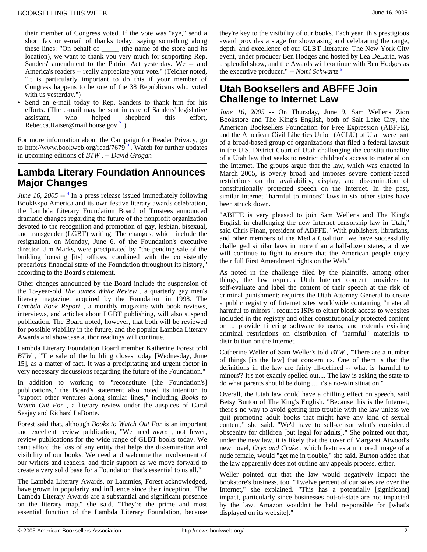their member of Congress voted. If the vote was "aye," send a short fax or e-mail of thanks today, saying something along these lines: "On behalf of \_\_\_\_\_ (the name of the store and its location), we want to thank you very much for supporting Rep. Sanders' amendment to the Patriot Act yesterday. We -- and America's readers -- really appreciate your vote." (Teicher noted, "It is particularly important to do this if your member of Congress happens to be one of the 38 Republicans who voted with us yesterday.")

<span id="page-1-1"></span>Send an e-mail today to Rep. Sanders to thank him for his efforts. (The e-mail may be sent in care of Sanders' legislative assistant, who helped shepherd this effort, Rebecca.Raiser@mail.house.gov<sup>[2](#page-8-3)</sup>.)

For more information about the Campaign for Reader Privacy, go to http://www.bookweb.org/read/7679<sup>[3](#page-8-3)</sup>. Watch for further updates in upcoming editions of *BTW* . -- *David Grogan*

## <span id="page-1-0"></span>**Lambda Literary Foundation Announces Major Changes**

June 16, 2005 -- <sup>[4](#page-8-3)</sup> In a press release issued immediately following BookExpo America and its own festive literary awards celebration, the Lambda Literary Foundation Board of Trustees announced dramatic changes regarding the future of the nonprofit organization devoted to the recognition and promotion of gay, lesbian, bisexual, and transgender (LGBT) writing. The changes, which include the resignation, on Monday, June 6, of the Foundation's executive director, Jim Marks, were precipitated by "the pending sale of the building housing [its] offices, combined with the consistently precarious financial state of the Foundation throughout its history," according to the Board's statement.

Other changes announced by the Board include the suspension of the 15-year-old *The James White Review* , a quarterly gay men's literary magazine, acquired by the Foundation in 1998. The *Lambda Book Report* , a monthly magazine with book reviews, interviews, and articles about LGBT publishing, will also suspend publication. The Board noted, however, that both will be reviewed for possible viability in the future, and the popular Lambda Literary Awards and showcase author readings will continue.

Lambda Literary Foundation Board member Katherine Forest told *BTW* , "The sale of the building closes today [Wednesday, June 15], as a matter of fact. It was a precipitating and urgent factor in very necessary discussions regarding the future of the Foundation."

In addition to working to "reconstitute [the Foundation's] publications," the Board's statement also noted its intention to "support other ventures along similar lines," including *Books to Watch Out For* , a literary review under the auspices of Carol Seajay and Richard LaBonte.

Forest said that, although *Books to Watch Out For* is an important and excellent review publication, "We need *more* , not fewer, review publications for the wide range of GLBT books today. We can't afford the loss of any entity that helps the dissemination and visibility of our books. We need and welcome the involvement of our writers and readers, and their support as we move forward to create a very solid base for a Foundation that's essential to us all."

The Lambda Literary Awards, or Lammies, Forest acknowledged, have grown in popularity and influence since their inception. "The Lambda Literary Awards are a substantial and significant presence on the literary map," she said. "They're the prime and most essential function of the Lambda Literary Foundation, because

they're key to the visibility of our books. Each year, this prestigious award provides a stage for showcasing and celebrating the range, depth, and excellence of our GLBT literature. The New York City event, under producer Ben Hodges and hosted by Lea DeLaria, was a splendid show, and the Awards will continue with Ben Hodges as the executive producer." -- *Nomi Schwartz [5](#page-8-3)*

## **Utah Booksellers and ABFFE Join Challenge to Internet Law**

*June 16, 2005* -- On Thursday, June 9, Sam Weller's Zion Bookstore and The King's English, both of Salt Lake City, the American Booksellers Foundation for Free Expression (ABFFE), and the American Civil Liberties Union (ACLU) of Utah were part of a broad-based group of organizations that filed a federal lawsuit in the U.S. District Court of Utah challenging the constitutionality of a Utah law that seeks to restrict children's access to material on the Internet. The groups argue that the law, which was enacted in March 2005, is overly broad and imposes severe content-based restrictions on the availability, display, and dissemination of constitutionally protected speech on the Internet. In the past, similar Internet "harmful to minors" laws in six other states have been struck down.

"ABFFE is very pleased to join Sam Weller's and The King's English in challenging the new Internet censorship law in Utah," said Chris Finan, president of ABFFE. "With publishers, librarians, and other members of the Media Coalition, we have successfully challenged similar laws in more than a half-dozen states, and we will continue to fight to ensure that the American people enjoy their full First Amendment rights on the Web."

As noted in the challenge filed by the plaintiffs, among other things, the law requires Utah Internet content providers to self-evaluate and label the content of their speech at the risk of criminal punishment; requires the Utah Attorney General to create a public registry of Internet sites worldwide containing "material harmful to minors"; requires ISPs to either block access to websites included in the registry and other constitutionally protected content or to provide filtering software to users; and extends existing criminal restrictions on distribution of "harmful" materials to distribution on the Internet.

Catherine Weller of Sam Weller's told *BTW* , "There are a number of things [in the law] that concern us. One of them is that the definitions in the law are fairly ill-defined -- what is 'harmful to minors'? It's not exactly spelled out.... The law is asking the state to do what parents should be doing.... It's a no-win situation."

Overall, the Utah law could have a chilling effect on speech, said Betsy Burton of The King's English. "Because this is the Internet, there's no way to avoid getting into trouble with the law unless we quit promoting adult books that might have any kind of sexual content," she said. "We'd have to self-censor what's considered obscenity for children [but legal for adults]." She pointed out that, under the new law, it is likely that the cover of Margaret Atwood's new novel, *Oryx and Crake* , which features a mirrored image of a nude female, would "get me in trouble," she said. Burton added that the law apparently does not outline any appeals process, either.

Weller pointed out that the law would negatively impact the bookstore's business, too. "Twelve percent of our sales are over the Internet," she explained. "This has a potentially [significant] impact, particularly since businesses out-of-state are not impacted by the law. Amazon wouldn't be held responsible for [what's displayed on its website]."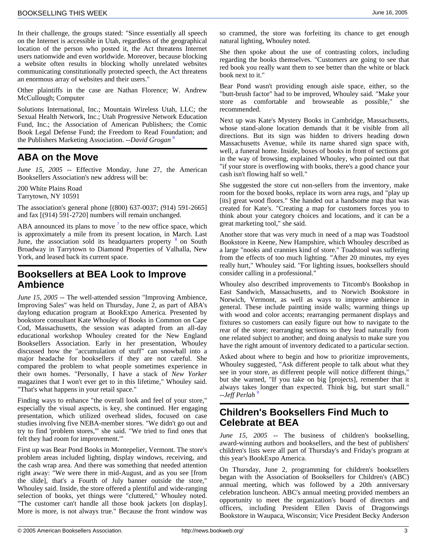In their challenge, the groups stated: "Since essentially all speech on the Internet is accessible in Utah, regardless of the geographical location of the person who posted it, the Act threatens Internet users nationwide and even worldwide. Moreover, because blocking a website often results in blocking wholly unrelated websites communicating constitutionally protected speech, the Act threatens an enormous array of websites and their users."

Other plaintiffs in the case are Nathan Florence; W. Andrew McCullough; Computer

Solutions International, Inc.; Mountain Wireless Utah, LLC; the Sexual Health Network, Inc.; Utah Progressive Network Education Fund, Inc.; the Association of American Publishers; the Comic Book Legal Defense Fund; the Freedom to Read Foundation; and the Publishers Marketing Association. *--David Grogan [6](#page-8-3)*

## <span id="page-2-0"></span>**ABA on the Move**

*June 15, 2005* -- Effective Monday, June 27, the American Booksellers Association's new address will be:

200 White Plains Road Tarrytown, NY 10591

The association's general phone [(800) 637-0037; (914) 591-2665] and fax [(914) 591-2720] numbers will remain unchanged.

ABA announced its plans to move  $<sup>7</sup>$  $<sup>7</sup>$  $<sup>7</sup>$  to the new office space, which</sup> is approximately a mile from its present location, in March. Last June, the association sold its headquarters property <sup>[8](#page-8-3)</sup> on South Broadway in Tarrytown to Diamond Properties of Valhalla, New York, and leased back its current space.

## <span id="page-2-1"></span>**Booksellers at BEA Look to Improve Ambience**

*June 15, 2005* -- The well-attended session "Improving Ambience, Improving Sales" was held on Thursday, June 2, as part of ABA's daylong education program at BookExpo America. Presented by bookstore consultant Kate Whouley of Books in Common on Cape Cod, Massachusetts, the session was adapted from an all-day educational workshop Whouley created for the New England Booksellers Association. Early in her presentation, Whouley discussed how the "accumulation of stuff" can snowball into a major headache for booksellers if they are not careful. She compared the problem to what people sometimes experience in their own homes. "Personally, I have a stack of *New Yorker* magazines that I won't ever get to in this lifetime," Whouley said. "That's what happens in your retail space."

<span id="page-2-2"></span>Finding ways to enhance "the overall look and feel of your store," especially the visual aspects, is key, she continued. Her engaging presentation, which utilized overhead slides, focused on case studies involving five NEBA-member stores. "We didn't go out and try to find 'problem stores,'" she said. "We tried to find ones that felt they had room for improvement.'"

First up was Bear Pond Books in Montepelier, Vermont. The store's problem areas included lighting, display windows, receiving, and the cash wrap area. And there was something that needed attention right away: "We were there in mid-August, and as you see [from the slide], that's a Fourth of July banner outside the store," Whouley said. Inside, the store offered a plentiful and wide-ranging selection of books, yet things were "cluttered," Whouley noted. "The customer can't handle all those book jackets [on display]. More is more, is not always true." Because the front window was

so crammed, the store was forfeiting its chance to get enough natural lighting, Whouley noted.

She then spoke about the use of contrasting colors, including regarding the books themselves. "Customers are going to see that red book you really want them to see better than the white or black book next to it."

Bear Pond wasn't providing enough aisle space, either, so the "butt-brush factor" had to be improved, Whouley said. "Make your store as comfortable and browseable as possible," she recommended.

Next up was Kate's Mystery Books in Cambridge, Massachusetts, whose stand-alone location demands that it be visible from all directions. But its sign was hidden to drivers heading down Massachusetts Avenue, while its name shared sign space with, well, a funeral home. Inside, boxes of books in front of sections got in the way of browsing, explained Whouley, who pointed out that "if your store is overflowing with books, there's a good chance your cash isn't flowing half so well."

She suggested the store cut non-sellers from the inventory, make room for the boxed books, replace its worn area rugs, and "play up [its] great wood floors." She handed out a handsome map that was created for Kate's. "Creating a map for customers forces you to think about your category choices and locations, and it can be a great marketing tool," she said.

Another store that was very much in need of a map was Toadstool Bookstore in Keene, New Hampshire, which Whouley described as a large "nooks and crannies kind of store." Toadstool was suffering from the effects of too much lighting. "After 20 minutes, my eyes really hurt," Whouley said. "For lighting issues, booksellers should consider calling in a professional."

Whouley also described improvements to Titcomb's Bookshop in East Sandwich, Massachusetts, and to Norwich Bookstore in Norwich, Vermont, as well as ways to improve ambience in general. These include painting inside walls; warming things up with wood and color accents; rearranging permanent displays and fixtures so customers can easily figure out how to navigate to the rear of the store; rearranging sections so they lead naturally from one related subject to another; and doing analysis to make sure you have the right amount of inventory dedicated to a particular section.

Asked about where to begin and how to prioritize improvements, Whouley suggested, "Ask different people to talk about what they see in your store, as different people will notice different things," but she warned, "If you take on big [projects], remember that it always takes longer than expected. Think big, but start small." *--Jeff Perlah [9](#page-8-3)*

## **Children's Booksellers Find Much to Celebrate at BEA**

*June 15, 2005* -- The business of children's bookselling, award-winning authors and booksellers, and the best of publishers' children's lists were all part of Thursday's and Friday's program at this year's BookExpo America.

On Thursday, June 2, programming for children's booksellers began with the Association of Booksellers for Children's (ABC) annual meeting, which was followed by a 20th anniversary celebration luncheon. ABC's annual meeting provided members an opportunity to meet the organization's board of directors and officers, including President Ellen Davis of Dragonwings Bookstore in Waupaca, Wisconsin; Vice President Becky Anderson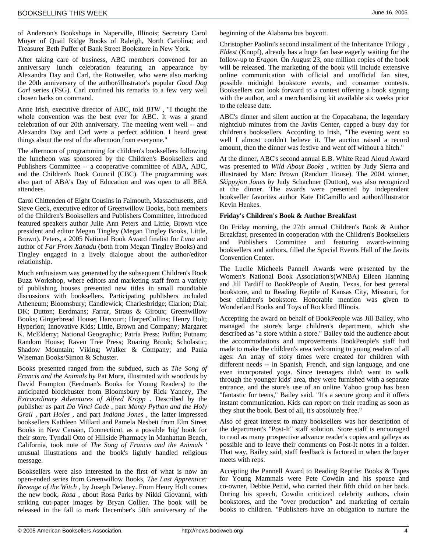of Anderson's Bookshops in Naperville, Illinois; Secretary Carol Moyer of Quail Ridge Books of Raleigh, North Carolina; and Treasurer Beth Puffer of Bank Street Bookstore in New York.

After taking care of business, ABC members convened for an anniversary lunch celebration featuring an appearance by Alexandra Day and Carl, the Rottweiler, who were also marking the 20th anniversary of the author/illustrator's popular *Good Dog Carl* series (FSG). Carl confined his remarks to a few very well chosen barks on command.

Anne Irish, executive director of ABC, told *BTW* , "I thought the whole convention was the best ever for ABC. It was a grand celebration of our 20th anniversary. The meeting went well -- and Alexandra Day and Carl were a perfect addition. I heard great things about the rest of the afternoon from everyone."

The afternoon of programming for children's booksellers following the luncheon was sponsored by the Children's Booksellers and Publishers Committee -- a cooperative committee of ABA, ABC, and the Children's Book Council (CBC). The programming was also part of ABA's Day of Education and was open to all BEA attendees.

Carol Chittenden of Eight Cousins in Falmouth, Massachusetts, and Steve Geck, executive editor of Greenwillow Books, both members of the Children's Booksellers and Publishers Committee, introduced featured speakers author Julie Ann Peters and Little, Brown vice president and editor Megan Tingley (Megan Tingley Books, Little, Brown). Peters, a 2005 National Book Award finalist for *Luna* and author of *Far From Xanadu* (both from Megan Tingley Books) and Tingley engaged in a lively dialogue about the author/editor relationship.

Much enthusiasm was generated by the subsequent Children's Book Buzz Workshop, where editors and marketing staff from a variety of publishing houses presented new titles in small roundtable discussions with booksellers. Participating publishers included Atheneum; Bloomsbury; Candlewick; Charlesbridge; Clarion; Dial; DK; Dutton; Eerdmans; Farrar, Straus & Giroux; Greenwillow Books; Gingerbread House; Harcourt; HarperCollins; Henry Holt; Hyperion; Innovative Kids; Little, Brown and Company; Margaret K. McElderry; National Geographic; Patria Press; Puffin; Putnam; Random House; Raven Tree Press; Roaring Brook; Scholastic; Shadow Mountain; Viking; Walker & Company; and Paula Wiseman Books/Simon & Schuster.

Books presented ranged from the subdued, such as *The Song of Francis and the Animals* by Pat Mora, illustrated with woodcuts by David Frampton (Eerdman's Books for Young Readers) to the anticipated blockbuster from Bloomsbury by Rick Yancey, *The Extraordinary Adventures of Alfred Kropp* . Described by the publisher as part *Da Vinci Code* , part *Monty Python and the Holy Grail* , part *Holes* , and part *Indiana Jones* , the latter impressed booksellers Kathleen Millard and Pamela Nesbett from Elm Street Books in New Canaan, Connecticut, as a possible 'big' book for their store. Tyndall Otto of Hillside Pharmacy in Manhattan Beach, California, took note of *The Song of Francis and the Animals* ' unusual illustrations and the book's lightly handled religious message.

Booksellers were also interested in the first of what is now an open-ended series from Greenwillow Books, *The Last Apprentice: Revenge of the Witch* , by Joseph Delaney. From Henry Holt comes the new book, *Rosa* , about Rosa Parks by Nikki Giovanni, with striking cut-paper images by Bryan Collier. The book will be released in the fall to mark December's 50th anniversary of the

beginning of the Alabama bus boycott.

Christopher Paolini's second installment of the Inheritance Trilogy *, Eldest* (Knopf), already has a huge fan base eagerly waiting for the follow-up to *Eragon.* On August 23, one million copies of the book will be released. The marketing of the book will include extensive online communication with official and unofficial fan sites, possible midnight bookstore events, and consumer contests. Booksellers can look forward to a contest offering a book signing with the author, and a merchandising kit available six weeks prior to the release date.

ABC's dinner and silent auction at the Copacabana, the legendary nightclub minutes from the Javits Center, capped a busy day for children's booksellers. According to Irish, "The evening went so well I almost couldn't believe it. The auction raised a record amount, then the dinner was festive and went off without a hitch."

At the dinner, ABC's second annual E.B. White Read Aloud Award was presented to *Wild About Books* , written by Judy Sierra and illustrated by Marc Brown (Random House). The 2004 winner, *Skippyjon Jones by* Judy Schachner (Dutton), was also recognized at the dinner. The awards were presented by independent bookseller favorites author Kate DiCamillo and author/illustrator Kevin Henkes.

#### **Friday's Children's Book & Author Breakfast**

On Friday morning, the 27th annual Children's Book & Author Breakfast, presented in cooperation with the Children's Booksellers and Publishers Committee and featuring award-winning booksellers and authors, filled the Special Events Hall of the Javits Convention Center.

The Lucile Micheels Pannell Awards were presented by the Women's National Book Association's(WNBA) Eileen Hanning and Jill Tardiff to BookPeople of Austin, Texas, for best general bookstore, and to Reading Reptile of Kansas City, Missouri, for best children's bookstore. Honorable mention was given to Wonderland Books and Toys of Rockford Illinois.

Accepting the award on behalf of BookPeople was Jill Bailey, who managed the store's large children's department, which she described as "a store within a store." Bailey told the audience about the accommodations and improvements BookPeople's staff had made to make the children's area welcoming to young readers of all ages: An array of story times were created for children with different needs -- in Spanish, French, and sign language, and one even incorporated yoga. Since teenagers didn't want to walk through the younger kids' area, they were furnished with a separate entrance, and the store's use of an online Yahoo group has been "fantastic for teens," Bailey said. "It's a secure group and it offers instant communication. Kids can report on their reading as soon as they shut the book. Best of all, it's absolutely free."

Also of great interest to many booksellers was her description of the department's "Post-It" staff solution. Store staff is encouraged to read as many prospective advance reader's copies and galleys as possible and to leave their comments on Post-It notes in a folder. That way, Bailey said, staff feedback is factored in when the buyer meets with reps.

Accepting the Pannell Award to Reading Reptile: Books & Tapes for Young Mammals were Pete Cowdin and his spouse and co-owner, Debbie Pettid, who carried their fifth child on her back. During his speech, Cowdin criticized celebrity authors, chain bookstores, and the "over production" and marketing of certain books to children. "Publishers have an obligation to nurture the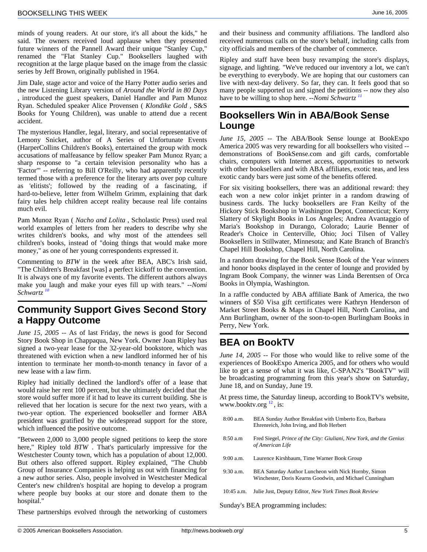minds of young readers. At our store, it's all about the kids," he said. The owners received loud applause when they presented future winners of the Pannell Award their unique "Stanley Cup," renamed the "Flat Stanley Cup." Booksellers laughed with recognition at the large plaque based on the image from the classic series by Jeff Brown, originally published in 1964.

<span id="page-4-1"></span>Jim Dale, stage actor and voice of the Harry Potter audio series and the new Listening Library version of *Around the World in 80 Days* , introduced the guest speakers, Daniel Handler and Pam Munoz Ryan. Scheduled speaker Alice Provensen ( *Klondike Gold* , S&S Books for Young Children), was unable to attend due a recent accident.

The mysterious Handler, legal, literary, and social representative of Lemony Snicket, author of A Series of Unfortunate Events (HarperCollins Children's Books), entertained the group with mock accusations of malfeasance by fellow speaker Pam Munoz Ryan; a sharp response to "a certain television personality who has a 'Factor'" -- referring to Bill O'Reilly, who had apparently recently termed those with a preference for the literary arts over pop culture as 'elitists'; followed by the reading of a fascinating, if hard-to-believe, letter from Wilhelm Grimm, explaining that dark fairy tales help children accept reality because real life contains much evil.

Pam Munoz Ryan ( *Nacho and Lolita* , Scholastic Press) used real world examples of letters from her readers to describe why she writes children's books, and why most of the attendees sell children's books, instead of "doing things that would make more money," as one of her young correspondents expressed it.

Commenting to *BTW* in the week after BEA, ABC's Irish said, "The Children's Breakfast [was] a perfect kickoff to the convention. It is always one of my favorite events. The different authors always make you laugh and make your eyes fill up with tears." *--Nomi Schwartz [10](#page-8-3)*

#### <span id="page-4-0"></span>**Community Support Gives Second Story a Happy Outcome**

<span id="page-4-2"></span>*June 15, 2005* -- As of last Friday, the news is good for Second Story Book Shop in Chappaqua, New York. Owner Joan Ripley has signed a two-year lease for the 32-year-old bookstore, which was threatened with eviction when a new landlord informed her of his intention to terminate her month-to-month tenancy in favor of a new lease with a law firm.

Ripley had initially declined the landlord's offer of a lease that would raise her rent 100 percent, but she ultimately decided that the store would suffer more if it had to leave its current building. She is relieved that her location is secure for the next two years, with a two-year option. The experienced bookseller and former ABA president was gratified by the widespread support for the store, which influenced the positive outcome.

"Between 2,000 to 3,000 people signed petitions to keep the store here," Ripley told *BTW* . That's particularly impressive for the Westchester County town, which has a population of about 12,000. But others also offered support. Ripley explained, "The Chubb Group of Insurance Companies is helping us out with financing for a new author series. Also, people involved in Westchester Medical Center's new children's hospital are hoping to develop a program where people buy books at our store and donate them to the hospital."

These partnerships evolved through the networking of customers

and their business and community affiliations. The landlord also received numerous calls on the store's behalf, including calls from city officials and members of the chamber of commerce.

Ripley and staff have been busy revamping the store's displays, signage, and lighting. "We've reduced our inventory a lot, we can't be everything to everybody. We are hoping that our customers can live with next-day delivery. So far, they can. It feels good that so many people supported us and signed the petitions -- now they also have to be willing to shop here. *--Nomi Schwartz [11](#page-8-3)*

## **Booksellers Win in ABA/Book Sense Lounge**

*June 15, 2005* -- The ABA/Book Sense lounge at BookExpo America 2005 was very rewarding for all booksellers who visited - demonstrations of BookSense.com and gift cards, comfortable chairs, computers with Internet access, opportunities to network with other booksellers and with ABA affiliates, exotic teas, and less exotic candy bars were just some of the benefits offered.

For six visiting booksellers, there was an additional reward: they each won a new color inkjet printer in a random drawing of business cards. The lucky booksellers are Fran Keilty of the Hickory Stick Bookshop in Washington Depot, Connecticut; Kerry Slattery of Skylight Books in Los Angeles; Andrea Avantaggio of Maria's Bookshop in Durango, Colorado; Laurie Benner of Reader's Choice in Centerville, Ohio; Joci Tilsen of Valley Booksellers in Stillwater, Minnesota; and Kate Branch of Branch's Chapel Hill Bookshop, Chapel Hill, North Carolina.

In a random drawing for the Book Sense Book of the Year winners and honor books displayed in the center of lounge and provided by Ingram Book Company, the winner was Linda Berentsen of Orca Books in Olympia, Washington.

In a raffle conducted by ABA affiliate Bank of America, the two winners of \$50 Visa gift certificates were Kathryn Henderson of Market Street Books & Maps in Chapel Hill, North Carolina, and Ann Burlingham, owner of the soon-to-open Burlingham Books in Perry, New York.

## **BEA on BookTV**

*June 14, 2005* -- For those who would like to relive some of the experiences of BookExpo America 2005, and for others who would like to get a sense of what it was like, C-SPAN2's "BookTV" will be broadcasting programming from this year's show on Saturday, June 18, and on Sunday, June 19.

At press time, th[e S](#page-8-3)aturday lineup, according to BookTV's website, www.booktv.org $^{12}$ , is:

- 8:00 a.m. BEA Sunday Author Breakfast with Umberto Eco, Barbara Ehrenreich, John Irving, and Bob Herbert
- 8:50 a.m Fred Siegel, *Prince of the City: Giuliani, New York, and the Genius of American Life*
- 9:00 a.m. Laurence Kirshbaum, Time Warner Book Group
- 9:30 a.m. BEA Saturday Author Luncheon with Nick Hornby, Simon Winchester, Doris Kearns Goodwin, and Michael Cunningham
- 10:45 a.m. Julie Just, Deputy Editor, *New York Times Book Review*

Sunday's BEA programming includes: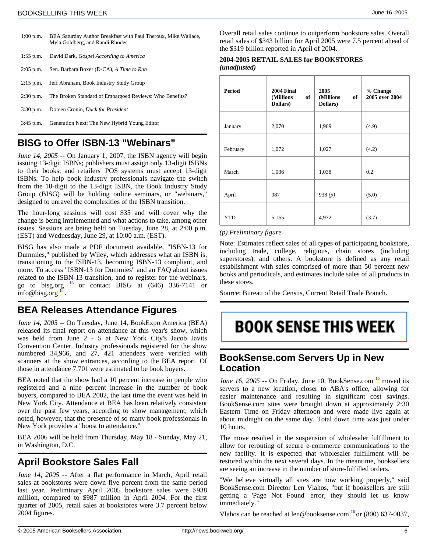| $1:00$ p.m. | BEA Saturday Author Breakfast with Paul Theroux, Mike Wallace,<br>Myla Goldberg, and Randi Rhodes |
|-------------|---------------------------------------------------------------------------------------------------|
| $1:55$ p.m. | David Dark, <i>Gospel According to America</i>                                                    |
| $2:05$ p.m. | Sen. Barbara Boxer (D-CA), A Time to Run                                                          |
| $2:15$ p.m. | Jeff Abraham, Book Industry Study Group                                                           |
| $2:30$ p.m. | The Broken Standard of Embargoed Reviews: Who Benefits?                                           |
| $3:30$ p.m. | Doreen Cronin, Duck for President                                                                 |
| $3:45$ p.m. | Generation Next: The New Hybrid Young Editor                                                      |

## <span id="page-5-0"></span>**BISG to Offer ISBN-13 "Webinars"**

*June 14, 2005* -- On January 1, 2007, the ISBN agency will begin issuing 13-digit ISBNs; publishers must assign only 13-digit ISBNs to their books; and retailers' POS systems must accept 13-digit ISBNs. To help book industry professionals navigate the switch from the 10-digit to the 13-digit ISBN, the Book Industry Study Group (BISG) will be holding online seminars, or "webinars," designed to unravel the complexities of the ISBN transition.

The hour-long sessions will cost \$35 and will cover why the change is being implemented and what actions to take, among other issues. Sessions are being held on Tuesday, June 28, at 2:00 p.m. (EST) and Wednesday, June 29, at 10:00 a.m. (EST).

BISG has also made a PDF document available, "ISBN-13 for Dummies," published by Wiley, which addresses what an ISBN is, transitioning to the ISBN-13, becoming ISBN-13 compliant, and more. To access "ISBN-13 for Dummies" and an FAQ about issues related to the ISBN-13 transition, and to register for the webinars, go to bisg.org  $^{13}$  $^{13}$  $^{13}$  or contact BISG at (646) 336-7141 or info@bisg.org $^{14}$  $^{14}$  $^{14}$ .

## <span id="page-5-3"></span><span id="page-5-1"></span>**BEA Releases Attendance Figures**

<span id="page-5-4"></span>*June 14, 2005* -- On Tuesday, June 14, BookExpo America (BEA) released its final report on attendance at this year's show, which was held from June 2 - 5 at New York City's Jacob Javits Convention Center. Industry professionals registered for the show numbered 34,966, and 27, 421 attendees were verified with scanners at the show entrances, according to the BEA report. Of those in attendance 7,701 were estimated to be book buyers.

BEA noted that the show had a 10 percent increase in people who registered and a nine percent increase in the number of book buyers, compared to BEA 2002, the last time the event was held in New York City. Attendance at BEA has been relatively consistent over the past few years, according to show management, which noted, however, that the presence of so many book professionals in New York provides a "boost to attendance."

<span id="page-5-2"></span>BEA 2006 will be held from Thursday, May 18 - Sunday, May 21, in Washington, D.C.

## **April Bookstore Sales Fall**

*June 14, 2005* -- After a flat performance in March, April retail sales at bookstores were down five percent from the same period last year. Preliminary April 2005 bookstore sales were \$938 million, compared to \$987 million in April 2004. For the first quarter of 2005, retail sales at bookstores were 3.7 percent below 2004 figures.

Overall retail sales continue to outperform bookstore sales. Overall retail sales of \$343 billion for April 2005 were 7.5 percent ahead of the \$319 billion reported in April of 2004.

#### **2004-2005 RETAIL SALES for BOOKSTORES** *(unadjusted)*

| <b>Period</b> | <b>2004 Final</b><br>(Millions<br>of<br>Dollars) | 2005<br>(Millions<br>of<br>Dollars) | % Change<br>2005 over 2004 |
|---------------|--------------------------------------------------|-------------------------------------|----------------------------|
| January       | 2,070                                            | 1,969                               | (4.9)                      |
| February      | 1,072                                            | 1,027                               | (4.2)                      |
| March         | 1,036                                            | 1,038                               | 0.2                        |
| April         | 987                                              | 938 $(p)$                           | (5.0)                      |
| <b>YTD</b>    | 5,165                                            | 4,972                               | (3.7)                      |

#### *(p) Preliminary figure*

Note: Estimates reflect sales of all types of participating bookstore, including trade, college, religious, chain stores (including superstores), and others. A bookstore is defined as any retail establishment with sales comprised of more than 50 percent new books and periodicals, and estimates include sales of all products in these stores.

Source: Bureau of the Census, Current Retail Trade Branch.

# **BOOK SENSE THIS WEEK**

## **BookSense.com Servers Up in New Location**

*June 16, 2005* -- On Friday, June 10, BookSense.com  $^{15}$  moved its servers to a new location, closer to ABA's office, allowing for easier maintenance and resulting in significant cost savings. BookSense.com sites were brought down at approximately 2:30 Eastern Time on Friday afternoon and were made live again at about midnight on the same day. Total down time was just under 10 hours.

The move resulted in the suspension of wholesaler fulfillment to allow for rerouting of secure e-commerce communications to the new facility. It is expected that wholesaler fulfillment will be restored within the next several days. In the meantime, booksellers are seeing an increase in the number of store-fulfilled orders.

"We believe virtually all sites are now working properly," said BookSense.com Director Len Vlahos, "but if booksellers are still getting a 'Page Not Found' error, they should let us know immediately."

Vlahos can be reached at len@booksense.com  $^{16}$  or (800) 637-0037,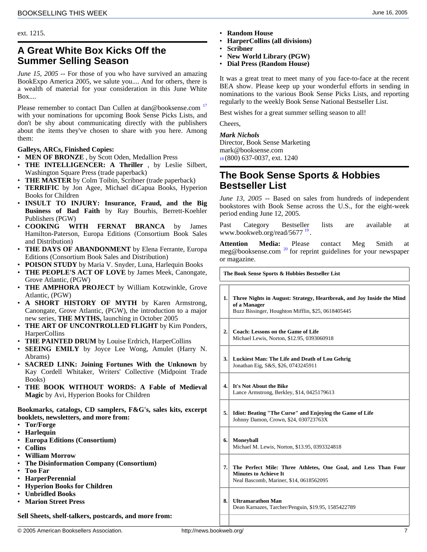ext. 1215.

## <span id="page-6-0"></span>**A Great White Box Kicks Off the Summer Selling Season**

*June 15, 2005* -- For those of you who have survived an amazing BookExpo America 2005, we salute you.... And for others, there is a wealth of material for your consideration in this June White Box....

Please remember to contact Dan Cullen at dan@booksense.com<sup>[17](#page-8-3)</sup> with your nominations for upcoming Book Sense Picks Lists, and don't be shy about communicating directly with the publishers about the items they've chosen to share with you here. Among them:

#### **Galleys, ARCs, Finished Copies:**

• **MEN OF BRONZE** , by Scott Oden, Medallion Press

- <span id="page-6-1"></span>• **THE INTELLIGENCER: A Thriller** , by Leslie Silbert, Washington Square Press (trade paperback)
- **THE MASTER** by Colm Toibin, Scribner (trade paperback)
- **TERRIFIC** by Jon Agee, Michael diCapua Books, Hyperion Books for Children
- **INSULT TO INJURY: Insurance, Fraud, and the Big Business of Bad Faith** by Ray Bourhis, Berrett-Koehler Publishers (PGW)
- **COOKING WITH FERNAT BRANCA** by James Hamilton-Paterson, Europa Editions (Consortium Book Sales and Distribution)
- **THE DAYS OF ABANDONMENT** by Elena Ferrante, Europa Editions (Consortium Book Sales and Distribution)
- **POISON STUDY** by Maria V. Snyder, Luna, Harlequin Books
- **THE PEOPLE'S ACT OF LOVE** by James Meek, Canongate, Grove Atlantic, (PGW)
- **THE AMPHORA PROJECT** by William Kotzwinkle, Grove Atlantic, (PGW)
- **A SHORT HISTORY OF MYTH** by Karen Armstrong, Canongate, Grove Atlantic, (PGW), the introduction to a major new series, **THE MYTHS,** launching in October 2005
- **THE ART OF UNCONTROLLED FLIGHT** by Kim Ponders, HarperCollins
- **THE PAINTED DRUM** by Louise Erdrich, HarperCollins
- **SEEING EMILY** by Joyce Lee Wong, Amulet (Harry N. Abrams)
- **SACRED LINK: Joining Fortunes With the Unknown** by Kay Cordell Whitaker, Writers' Collective (Midpoint Trade Books)
- **THE BOOK WITHOUT WORDS: A Fable of Medieval Magic** by Avi, Hyperion Books for Children

#### **Bookmarks, catalogs, CD samplers, F&G's, sales kits, excerpt booklets, newsletters, and more from:**

- **Tor/Forge**
- **Harlequin**
- **Europa Editions (Consortium)**
- **Collins**
- **William Morrow**
- **The Disinformation Company (Consortium)**
- **Too Far**
- **HarperPerennial**
- **Hyperion Books for Children**
- **Unbridled Books**
- **Marion Street Press**

**Sell Sheets, shelf-talkers, postcards, and more from:**

- **HarperCollins (all divisions)**
- **Scribner**
- **New World Library (PGW)**
- **Dial Press (Random House)**

It was a great treat to meet many of you face-to-face at the recent BEA show. Please keep up your wonderful efforts in sending in nominations to the various Book Sense Picks Lists, and reporting regularly to the weekly Book Sense National Bestseller List.

Best wishes for a great summer selling season to all!

Cheers,

#### *Mark Nichols*

Director, Book Sense Marketing mark@booksense.com [18](#page-8-3) (800) 637-0037, ext. 1240

#### **The Book Sense Sports & Hobbies Bestseller List**

*June 13, 2005* -- Based on sales from hundreds of independent bookstores with Book Sense across the U.S., for the eight-week period ending June 12, 2005.

Past Category Bestseller lists are available at www.bookweb.org/read/5677<sup>[19](#page-8-3)</sup>.

**Attention Media:** Please contact Meg Smith at meg@booksense.com<sup>[20](#page-8-3)</sup> for reprint guidelines for your newspaper or magazine.

**The Book Sense Sports & Hobbies Bestseller List**

- **1. Three Nights in August: Strategy, Heartbreak, and Joy Inside the Mind of a Manager** Buzz Bissinger, Houghton Mifflin, \$25, 0618405445
- **2. Coach: Lessons on the Game of Life** Michael Lewis, Norton, \$12.95, 0393060918
- **3. Luckiest Man: The Life and Death of Lou Gehrig** Jonathan Eig, S&S, \$26, 0743245911
- **4. It's Not About the Bike** Lance Armstrong, Berkley, \$14, 0425179613
- **5. Idiot: Beating "The Curse" and Enjoying the Game of Life** Johnny Damon, Crown, \$24, 030723763X
- **6. Moneyball** Michael M. Lewis, Norton, \$13.95, 0393324818
- **7. The Perfect Mile: Three Athletes, One Goal, and Less Than Four Minutes to Achieve It** Neal Bascomb, Mariner, \$14, 0618562095
- **8. Ultramarathon Man** Dean Karnazes, Tarcher/Penguin, \$19.95, 1585422789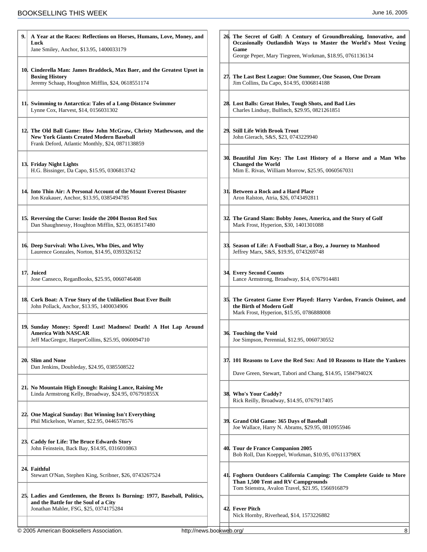| A Year at the Races: Reflections on Horses, Humans, Love, Money, and<br>Luck<br>Jane Smiley, Anchor, \$13.95, 1400033179                                                 | 26. The Secret of Golf: A Century of Groundbreaking, Innovative, and<br>Occasionally Outlandish Ways to Master the World's Most Vexing<br>Game<br>George Peper, Mary Tiegreen, Workman, \$18.95, 0761136134 |
|--------------------------------------------------------------------------------------------------------------------------------------------------------------------------|-------------------------------------------------------------------------------------------------------------------------------------------------------------------------------------------------------------|
| 10. Cinderella Man: James Braddock, Max Baer, and the Greatest Upset in<br><b>Boxing History</b><br>Jeremy Schaap, Houghton Mifflin, \$24, 0618551174                    | 27. The Last Best League: One Summer, One Season, One Dream<br>Jim Collins, Da Capo, \$14.95, 0306814188                                                                                                    |
| 11. Swimming to Antarctica: Tales of a Long-Distance Swimmer<br>Lynne Cox, Harvest, \$14, 0156031302                                                                     | 28. Lost Balls: Great Holes, Tough Shots, and Bad Lies<br>Charles Lindsay, Bulfinch, \$29.95, 0821261851                                                                                                    |
| 12. The Old Ball Game: How John McGraw, Christy Mathewson, and the<br><b>New York Giants Created Modern Baseball</b><br>Frank Deford, Atlantic Monthly, \$24, 0871138859 | 29. Still Life With Brook Trout<br>John Gierach, S&S, \$23, 0743229940                                                                                                                                      |
| 13. Friday Night Lights<br>H.G. Bissinger, Da Capo, \$15.95, 0306813742                                                                                                  | 30. Beautiful Jim Key: The Lost History of a Horse and a Man Who<br><b>Changed the World</b><br>Mim E. Rivas, William Morrow, \$25.95, 0060567031                                                           |
| 14. Into Thin Air: A Personal Account of the Mount Everest Disaster<br>Jon Krakauer, Anchor, \$13.95, 0385494785                                                         | 31. Between a Rock and a Hard Place<br>Aron Ralston, Atria, \$26, 0743492811                                                                                                                                |
| 15. Reversing the Curse: Inside the 2004 Boston Red Sox<br>Dan Shaughnessy, Houghton Mifflin, \$23, 0618517480                                                           | 32. The Grand Slam: Bobby Jones, America, and the Story of Golf<br>Mark Frost, Hyperion, \$30, 1401301088                                                                                                   |
| 16 Deep Survival: Who Lives, Who Dies, and Why<br>Laurence Gonzales, Norton, \$14.95, 0393326152                                                                         | 33. Season of Life: A Football Star, a Boy, a Journey to Manhood<br>Jeffrey Marx, S&S, \$19.95, 0743269748                                                                                                  |
| 17. Juiced<br>Jose Canseco, ReganBooks, \$25.95, 0060746408                                                                                                              | 34 Every Second Counts<br>Lance Armstrong, Broadway, \$14, 0767914481                                                                                                                                       |
| 18 Cork Boat: A True Story of the Unlikeliest Boat Ever Built<br>John Pollack, Anchor, \$13.95, 1400034906                                                               | 35. The Greatest Game Ever Played: Harry Vardon, Francis Ouimet, and<br>the Birth of Modern Golf<br>Mark Frost, Hyperion, \$15.95, 0786888008                                                               |
| 19. Sunday Money: Speed! Lust! Madness! Death! A Hot Lap Around<br><b>America With NASCAR</b><br>Jeff MacGregor, HarperCollins, \$25.95, 0060094710                      | 36. Touching the Void<br>Joe Simpson, Perennial, \$12.95, 0060730552                                                                                                                                        |
| 20 Slim and None<br>Dan Jenkins, Doubleday, \$24.95, 0385508522                                                                                                          | 37. 101 Reasons to Love the Red Sox: And 10 Reasons to Hate the Yankees<br>Dave Green, Stewart, Tabori and Chang, \$14.95, 158479402X                                                                       |
| 21. No Mountain High Enough: Raising Lance, Raising Me<br>Linda Armstrong Kelly, Broadway, \$24.95, 076791855X                                                           | 38. Who's Your Caddy?<br>Rick Reilly, Broadway, \$14.95, 0767917405                                                                                                                                         |
| 22. One Magical Sunday: But Winning Isn't Everything<br>Phil Mickelson, Warner, \$22.95, 0446578576                                                                      | 39. Grand Old Game: 365 Days of Baseball<br>Joe Wallace, Harry N. Abrams, \$29.95, 0810955946                                                                                                               |
| 23 Caddy for Life: The Bruce Edwards Story<br>John Feinstein, Back Bay, \$14.95, 0316010863                                                                              | 40. Tour de France Companion 2005<br>Bob Roll, Dan Koeppel, Workman, \$10.95, 076113798X                                                                                                                    |
| 24. Faithful<br>Stewart O'Nan, Stephen King, Scribner, \$26, 0743267524                                                                                                  | 41. Foghorn Outdoors California Camping: The Complete Guide to More<br>Than 1,500 Tent and RV Campgrounds                                                                                                   |
| 25. Ladies and Gentlemen, the Bronx Is Burning: 1977, Baseball, Politics,<br>and the Battle for the Soul of a City<br>Jonathan Mahler, FSG, \$25, 0374175284             | Tom Stienstra, Avalon Travel, \$21.95, 1566916879<br>42. Fever Pitch<br>Nick Hornby, Riverhead, \$14, 1573226882                                                                                            |
| http://news.bookweb.org/<br>© 2005 American Booksellers Association.                                                                                                     | 8                                                                                                                                                                                                           |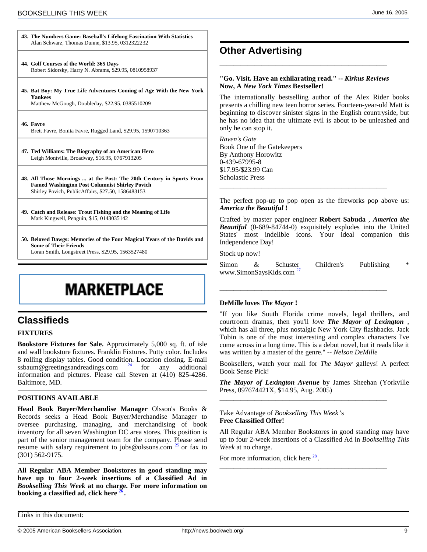|     | Alan Schwarz, Thomas Dunne, \$13.95, 0312322232                                                                                                                                     |
|-----|-------------------------------------------------------------------------------------------------------------------------------------------------------------------------------------|
|     | 44. Golf Courses of the World: 365 Days<br>Robert Sidorsky, Harry N. Abrams, \$29.95, 0810958937                                                                                    |
|     | 45. Bat Boy: My True Life Adventures Coming of Age With the New York<br><b>Yankees</b><br>Matthew McGough, Doubleday, \$22.95, 0385510209                                           |
|     | 46. Favre<br>Brett Favre, Bonita Favre, Rugged Land, \$29.95, 1590710363                                                                                                            |
| 47. | Ted Williams: The Biography of an American Hero<br>Leigh Montville, Broadway, \$16.95, 0767913205                                                                                   |
|     | 48. All Those Mornings  at the Post: The 20th Century in Sports From<br><b>Famed Washington Post Columnist Shirley Povich</b><br>Shirley Povich, PublicAffairs, \$27.50, 1586483153 |
|     |                                                                                                                                                                                     |

<span id="page-8-3"></span><span id="page-8-2"></span>**43. The Numbers Game: Baseball's Lifelong Fascination With Statistics**

**49. Catch and Release: Trout Fishing and the Meaning of Life** Mark Kingwell, Penguin, \$15, 0143035142

**50. Beloved Dawgs: Memories of the Four Magical Years of the Davids and Some of Their Friends**

<span id="page-8-0"></span>Loran Smith, Longstreet Press, \$29.95, 1563527480

## **MARKETPLACE**

## <span id="page-8-1"></span>**Classifieds**

#### **FIXTURES**

**Bookstore Fixtures for Sale.** Approximately 5,000 sq. ft. of isle and wall bookstore fixtures. Franklin Fixtures. Putty color. Includes 8 rolling display tables. Good conditi[on](#page-8-3). Location closing. E-mail ssbaum@greetingsandreadings.com  $24$  for any additional information and pictures. Please call Steven at (410) 825-4286. Baltimore, MD.

#### **POSITIONS AVAILABLE**

**Head Book Buyer/Merchandise Manager** Olsson's Books & Records seeks a Head Book Buyer/Merchandise Manager to oversee purchasing, managing, and merchandising of book inventory for all seven Washington DC area stores. Thi[s p](#page-8-3)osition is part of the senior management team for the company. Please send resume with salary requirement to jobs@olssons.com  $^{25}$  or fax to (301) 562-9175.

**All Regular ABA Member Bookstores in good standing may have up to four 2-week inser[tio](#page-8-3)ns of a Classified Ad in** *Bookselling This Week* **at no charge. For more information on booking a classified ad, click here <sup>26</sup> .**

**Other Advertising**

#### **"Go. Visit. Have an exhilarating read." --** *Kirkus Reviews* **Now, A** *New York Times* **Bestseller!**

\_\_\_\_\_\_\_\_\_\_\_\_\_\_\_\_\_\_\_\_\_\_\_\_\_\_\_\_\_\_\_\_\_\_\_\_\_\_\_\_\_\_\_\_\_\_\_\_

The internationally bestselling author of the Alex Rider books presents a chilling new teen horror series. Fourteen-year-old Matt is beginning to discover sinister signs in the English countryside, but he has no idea that the ultimate evil is about to be unleashed and only he can stop it.

*Raven's Gate* Book One of the Gatekeepers By Anthony Horowitz 0-439-67995-8 \$17.95/\$23.99 Can Scholastic Press

The perfect pop-up to pop open as the fireworks pop above us: *America the Beautiful* **!**

\_\_\_\_\_\_\_\_\_\_\_\_\_\_\_\_\_\_\_\_\_\_\_\_\_\_\_\_\_\_\_\_\_\_\_\_\_\_\_\_\_\_\_\_\_\_\_\_

Crafted by master paper engineer **Robert Sabuda** , *America the Beautiful* (0-689-84744-0) exquisitely explodes into the United States' most indelible icons. Your ideal companion this Independence Day!

Stock up now!

 $Simon \&$  Schust[er](#page-8-3) Children's Publishing www.SimonSaysKids.com<sup>2</sup>

\_\_\_\_\_\_\_\_\_\_\_\_\_\_\_\_\_\_\_\_\_\_\_\_\_\_\_\_\_\_\_\_\_\_\_\_\_\_\_\_\_\_\_\_\_\_\_\_

#### **DeMille loves** *The Mayor* **!**

"If you like South Florida crime novels, legal thrillers, and courtroom dramas, then you'll *love The Mayor of Lexington* , which has all three, plus nostalgic New York City flashbacks. Jack Tobin is one of the most interesting and complex characters I've come across in a long time. This is a debut novel, but it reads like it was written by a master of the genre." -- *Nelson DeMille*

Booksellers, watch your mail for *The Mayor* galleys! A perfect Book Sense Pick!

*The Mayor of Lexington Avenue* by James Sheehan (Yorkville Press, 097674421X, \$14.95, Aug. 2005)

\_\_\_\_\_\_\_\_\_\_\_\_\_\_\_\_\_\_\_\_\_\_\_\_\_\_\_\_\_\_\_\_\_\_\_\_\_\_\_\_\_\_\_\_\_\_\_\_

\_\_\_\_\_\_\_\_\_\_\_\_\_\_\_\_\_\_\_\_\_\_\_\_\_\_\_\_\_\_\_\_\_\_\_\_\_\_\_\_\_\_\_\_\_\_\_\_

Take Advantage of *Bookselling This Week* 's **Free Classified Offer!**

All Regular ABA Member Bookstores in good standing may have up to four 2-week insertions of a [C](#page-8-3)lassified Ad in *Bookselling This Week* at no charge.

For more information, click here <sup>[28](#page-8-3)</sup>.

Links in this document: